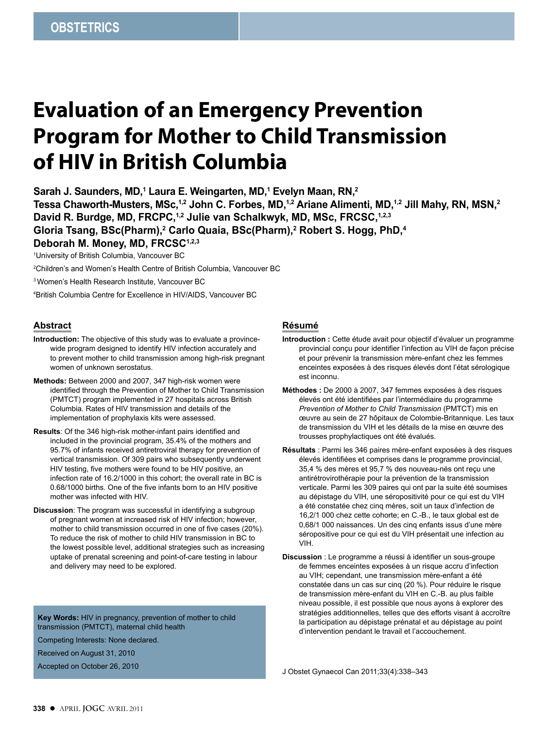# **Evaluation of an Emergency Prevention Program for Mother to Child Transmission of HIV in British Columbia**

**Sarah J. Saunders, MD,1 Laura E. Weingarten, MD,1 Evelyn Maan, RN,2**

Tessa Chaworth-Musters, MSc,<sup>1,2</sup> John C. Forbes, MD,<sup>1,2</sup> Ariane Alimenti, MD,<sup>1,2</sup> Jill Mahy, RN, MSN,<sup>2</sup> David R. Burdge, MD, FRCPC,<sup>1,2</sup> Julie van Schalkwyk, MD, MSc, FRCSC,<sup>1,2,3</sup> **Gloria Tsang, BSc(Pharm),2 Carlo Quaia, BSc(Pharm),2 Robert S. Hogg, PhD,4 Deborah M. Money, MD, FRCSC1,2,3**

1 University of British Columbia, Vancouver BC

2 Children's and Women's Health Centre of British Columbia, Vancouver BC

3 Women's Health Research Institute, Vancouver BC

4 British Columbia Centre for Excellence in HIV/AIDS, Vancouver BC

# **Abstract**

- **Introduction:** The objective of this study was to evaluate a provincewide program designed to identify HIV infection accurately and to prevent mother to child transmission among high-risk pregnant women of unknown serostatus.
- **Methods:** Between 2000 and 2007, 347 high-risk women were identified through the Prevention of Mother to Child Transmission (PMTCT) program implemented in 27 hospitals across British Columbia. Rates of HIV transmission and details of the implementation of prophylaxis kits were assessed.
- **Results**: Of the 346 high-risk mother-infant pairs identified and included in the provincial program, 35.4% of the mothers and 95.7% of infants received antiretroviral therapy for prevention of vertical transmission. Of 309 pairs who subsequently underwent HIV testing, five mothers were found to be HIV positive, an infection rate of 16.2/1000 in this cohort; the overall rate in BC is 0.68/1000 births. One of the five infants born to an HIV positive mother was infected with HIV.
- **Discussion**: The program was successful in identifying a subgroup of pregnant women at increased risk of HIV infection; however, mother to child transmission occurred in one of five cases (20%). To reduce the risk of mother to child HIV transmission in BC to the lowest possible level, additional strategies such as increasing uptake of prenatal screening and point-of-care testing in labour and delivery may need to be explored.

**Key Words:** HIV in pregnancy, prevention of mother to child transmission (PMTCT), maternal child health

Competing Interests: None declared.

Received on August 31, 2010

Accepted on October 26, 2010

# **Résumé**

- **Introduction :** Cette étude avait pour objectif d'évaluer un programme provincial conçu pour identifier l'infection au VIH de façon précise et pour prévenir la transmission mère-enfant chez les femmes enceintes exposées à des risques élevés dont l'état sérologique est inconnu.
- **Méthodes :** De 2000 à 2007, 347 femmes exposées à des risques élevés ont été identifiées par l'intermédiaire du programme *Prevention of Mother to Child Transmission* (PMTCT) mis en œuvre au sein de 27 hôpitaux de Colombie-Britannique. Les taux de transmission du VIH et les détails de la mise en œuvre des trousses prophylactiques ont été évalués.
- **Résultats** : Parmi les 346 paires mère-enfant exposées à des risques élevés identifiées et comprises dans le programme provincial, 35,4 % des mères et 95,7 % des nouveau-nés ont reçu une antirétrovirothérapie pour la prévention de la transmission verticale. Parmi les 309 paires qui ont par la suite été soumises au dépistage du VIH, une séropositivité pour ce qui est du VIH a été constatée chez cinq mères, soit un taux d'infection de 16,2/1 000 chez cette cohorte; en C.-B., le taux global est de 0,68/1 000 naissances. Un des cinq enfants issus d'une mère séropositive pour ce qui est du VIH présentait une infection au VIH.
- **Discussion** : Le programme a réussi à identifier un sous-groupe de femmes enceintes exposées à un risque accru d'infection au VIH; cependant, une transmission mère-enfant a été constatée dans un cas sur cinq (20 %). Pour réduire le risque de transmission mère-enfant du VIH en C.-B. au plus faible niveau possible, il est possible que nous ayons à explorer des stratégies additionnelles, telles que des efforts visant à accroître la participation au dépistage prénatal et au dépistage au point d'intervention pendant le travail et l'accouchement.

J Obstet Gynaecol Can 2011;33(4):338–343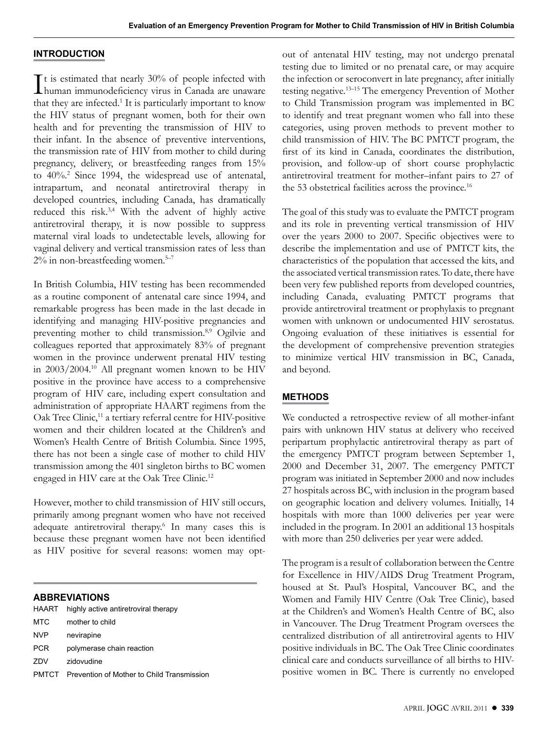#### **INTRODUCTION**

It is estimated that nearly 30% of people infected with<br>human immunodeficiency virus in Canada are unaware  $\mathsf{T}$ t is estimated that nearly 30% of people infected with that they are infected.<sup>1</sup> It is particularly important to know the HIV status of pregnant women, both for their own health and for preventing the transmission of HIV to their infant. In the absence of preventive interventions, the transmission rate of HIV from mother to child during pregnancy, delivery, or breastfeeding ranges from 15% to 40%.<sup>2</sup> Since 1994, the widespread use of antenatal, intrapartum, and neonatal antiretroviral therapy in developed countries, including Canada, has dramatically reduced this risk.3,4 With the advent of highly active antiretroviral therapy, it is now possible to suppress maternal viral loads to undetectable levels, allowing for vaginal delivery and vertical transmission rates of less than  $2\%$  in non-breastfeeding women.<sup>5-7</sup>

In British Columbia, HIV testing has been recommended as a routine component of antenatal care since 1994, and remarkable progress has been made in the last decade in identifying and managing HIV-positive pregnancies and preventing mother to child transmission.<sup>8,9</sup> Ogilvie and colleagues reported that approximately 83% of pregnant women in the province underwent prenatal HIV testing in 2003/2004.10 All pregnant women known to be HIV positive in the province have access to a comprehensive program of HIV care, including expert consultation and administration of appropriate HAART regimens from the Oak Tree Clinic,<sup>11</sup> a tertiary referral centre for HIV-positive women and their children located at the Children's and Women's Health Centre of British Columbia. Since 1995, there has not been a single case of mother to child HIV transmission among the 401 singleton births to BC women engaged in HIV care at the Oak Tree Clinic.12

However, mother to child transmission of HIV still occurs, primarily among pregnant women who have not received adequate antiretroviral therapy.<sup>6</sup> In many cases this is because these pregnant women have not been identified as HIV positive for several reasons: women may opt-

## **ABBREVIATIONS**

| HAART      | highly active antiretroviral therapy                    |
|------------|---------------------------------------------------------|
| MTC        | mother to child                                         |
| <b>NVP</b> | nevirapine                                              |
| <b>PCR</b> | polymerase chain reaction                               |
| ZDV        | zidovudine                                              |
|            | <b>PMTCT</b> Prevention of Mother to Child Transmission |

out of antenatal HIV testing, may not undergo prenatal testing due to limited or no prenatal care, or may acquire the infection or seroconvert in late pregnancy, after initially testing negative.13–15 The emergency Prevention of Mother to Child Transmission program was implemented in BC to identify and treat pregnant women who fall into these categories, using proven methods to prevent mother to child transmission of HIV. The BC PMTCT program, the first of its kind in Canada, coordinates the distribution, provision, and follow-up of short course prophylactic antiretroviral treatment for mother–infant pairs to 27 of the 53 obstetrical facilities across the province.<sup>16</sup>

The goal of this study was to evaluate the PMTCT program and its role in preventing vertical transmission of HIV over the years 2000 to 2007. Specific objectives were to describe the implementation and use of PMTCT kits, the characteristics of the population that accessed the kits, and the associated vertical transmission rates. To date, there have been very few published reports from developed countries, including Canada, evaluating PMTCT programs that provide antiretroviral treatment or prophylaxis to pregnant women with unknown or undocumented HIV serostatus. Ongoing evaluation of these initiatives is essential for the development of comprehensive prevention strategies to minimize vertical HIV transmission in BC, Canada, and beyond.

# **METHODS**

We conducted a retrospective review of all mother-infant pairs with unknown HIV status at delivery who received peripartum prophylactic antiretroviral therapy as part of the emergency PMTCT program between September 1, 2000 and December 31, 2007. The emergency PMTCT program was initiated in September 2000 and now includes 27 hospitals across BC, with inclusion in the program based on geographic location and delivery volumes. Initially, 14 hospitals with more than 1000 deliveries per year were included in the program. In 2001 an additional 13 hospitals with more than 250 deliveries per year were added.

The program is a result of collaboration between the Centre for Excellence in HIV/AIDS Drug Treatment Program, housed at St. Paul's Hospital, Vancouver BC, and the Women and Family HIV Centre (Oak Tree Clinic), based at the Children's and Women's Health Centre of BC, also in Vancouver. The Drug Treatment Program oversees the centralized distribution of all antiretroviral agents to HIV positive individuals in BC. The Oak Tree Clinic coordinates clinical care and conducts surveillance of all births to HIVpositive women in BC. There is currently no enveloped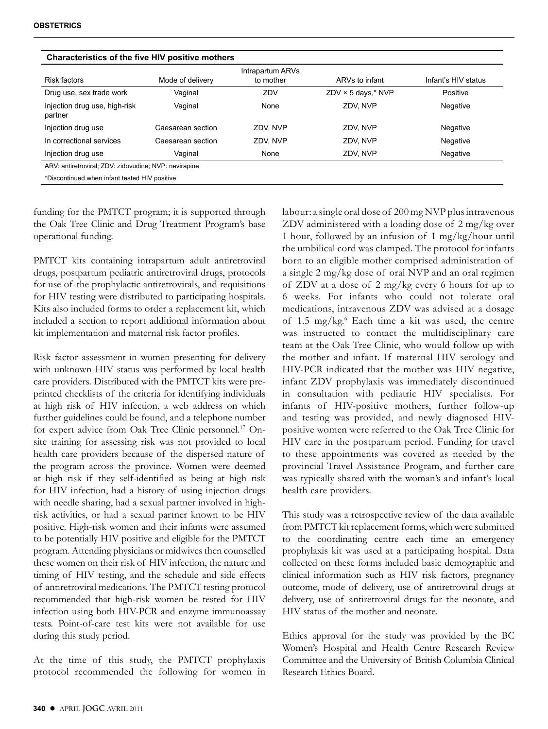| Characteristics of the five HIV positive mothers      |                   |                  |                           |                     |  |
|-------------------------------------------------------|-------------------|------------------|---------------------------|---------------------|--|
|                                                       |                   | Intrapartum ARVs |                           |                     |  |
| Risk factors                                          | Mode of delivery  | to mother        | ARVs to infant            | Infant's HIV status |  |
| Drug use, sex trade work                              | Vaginal           | ZDV              | $ZDV \times 5$ days,* NVP | Positive            |  |
| Injection drug use, high-risk<br>partner              | Vaginal           | None             | ZDV. NVP                  | Negative            |  |
| Injection drug use                                    | Caesarean section | ZDV. NVP         | ZDV, NVP                  | Negative            |  |
| In correctional services                              | Caesarean section | ZDV. NVP         | ZDV. NVP                  | Negative            |  |
| Injection drug use                                    | Vaginal           | None             | ZDV. NVP                  | Negative            |  |
| ARV: antiretroviral; ZDV: zidovudine; NVP: nevirapine |                   |                  |                           |                     |  |
| *Discontinued when infant tested HIV positive         |                   |                  |                           |                     |  |

funding for the PMTCT program; it is supported through the Oak Tree Clinic and Drug Treatment Program's base operational funding.

PMTCT kits containing intrapartum adult antiretroviral drugs, postpartum pediatric antiretroviral drugs, protocols for use of the prophylactic antiretrovirals, and requisitions for HIV testing were distributed to participating hospitals. Kits also included forms to order a replacement kit, which included a section to report additional information about kit implementation and maternal risk factor profiles.

Risk factor assessment in women presenting for delivery with unknown HIV status was performed by local health care providers. Distributed with the PMTCT kits were preprinted checklists of the criteria for identifying individuals at high risk of HIV infection, a web address on which further guidelines could be found, and a telephone number for expert advice from Oak Tree Clinic personnel.<sup>17</sup> Onsite training for assessing risk was not provided to local health care providers because of the dispersed nature of the program across the province. Women were deemed at high risk if they self-identified as being at high risk for HIV infection, had a history of using injection drugs with needle sharing, had a sexual partner involved in highrisk activities, or had a sexual partner known to be HIV positive. High-risk women and their infants were assumed to be potentially HIV positive and eligible for the PMTCT program. Attending physicians or midwives then counselled these women on their risk of HIV infection, the nature and timing of HIV testing, and the schedule and side effects of antiretroviral medications. The PMTCT testing protocol recommended that high-risk women be tested for HIV infection using both HIV-PCR and enzyme immunoassay tests. Point-of-care test kits were not available for use during this study period.

At the time of this study, the PMTCT prophylaxis protocol recommended the following for women in labour: a single oral dose of 200 mg NVP plus intravenous ZDV administered with a loading dose of 2 mg/kg over 1 hour, followed by an infusion of 1 mg/kg/hour until the umbilical cord was clamped. The protocol for infants born to an eligible mother comprised administration of a single 2 mg/kg dose of oral NVP and an oral regimen of ZDV at a dose of 2 mg/kg every 6 hours for up to 6 weeks. For infants who could not tolerate oral medications, intravenous ZDV was advised at a dosage of 1.5 mg/kg.<sup>6</sup> Each time a kit was used, the centre was instructed to contact the multidisciplinary care team at the Oak Tree Clinic, who would follow up with the mother and infant. If maternal HIV serology and HIV-PCR indicated that the mother was HIV negative, infant ZDV prophylaxis was immediately discontinued in consultation with pediatric HIV specialists. For infants of HIV-positive mothers, further follow-up and testing was provided, and newly diagnosed HIVpositive women were referred to the Oak Tree Clinic for HIV care in the postpartum period. Funding for travel to these appointments was covered as needed by the provincial Travel Assistance Program, and further care was typically shared with the woman's and infant's local health care providers.

This study was a retrospective review of the data available from PMTCT kit replacement forms, which were submitted to the coordinating centre each time an emergency prophylaxis kit was used at a participating hospital. Data collected on these forms included basic demographic and clinical information such as HIV risk factors, pregnancy outcome, mode of delivery, use of antiretroviral drugs at delivery, use of antiretroviral drugs for the neonate, and HIV status of the mother and neonate.

Ethics approval for the study was provided by the BC Women's Hospital and Health Centre Research Review Committee and the University of British Columbia Clinical Research Ethics Board.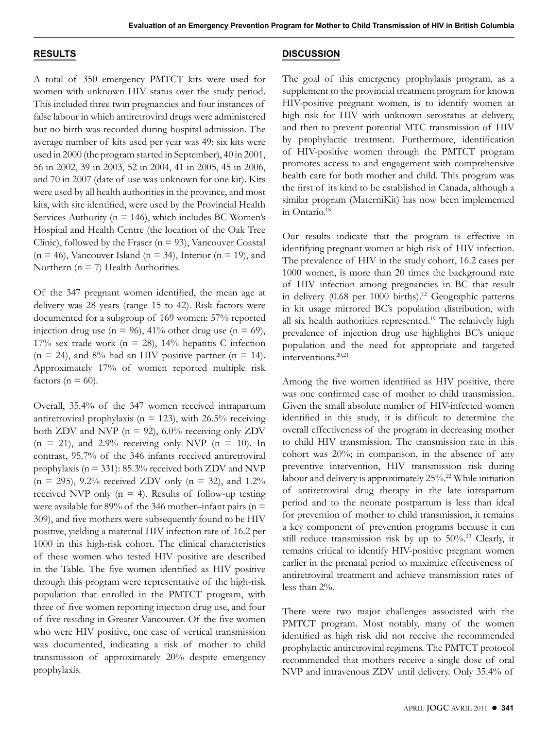# **RESULTS**

A total of 350 emergency PMTCT kits were used for women with unknown HIV status over the study period. This included three twin pregnancies and four instances of false labour in which antiretroviral drugs were administered but no birth was recorded during hospital admission. The average number of kits used per year was 49: six kits were used in 2000 (the program started in September), 40 in 2001, 56 in 2002, 39 in 2003, 52 in 2004, 41 in 2005, 45 in 2006, and 70 in 2007 (date of use was unknown for one kit). Kits were used by all health authorities in the province, and most kits, with site identified, were used by the Provincial Health Services Authority ( $n = 146$ ), which includes BC Women's Hospital and Health Centre (the location of the Oak Tree Clinic), followed by the Fraser ( $n = 93$ ), Vancouver Coastal  $(n = 46)$ , Vancouver Island  $(n = 34)$ , Interior  $(n = 19)$ , and Northern ( $n = 7$ ) Health Authorities.

Of the 347 pregnant women identified, the mean age at delivery was 28 years (range 15 to 42). Risk factors were documented for a subgroup of 169 women: 57% reported injection drug use (n = 96), 41% other drug use (n = 69), 17% sex trade work ( $n = 28$ ), 14% hepatitis C infection  $(n = 24)$ , and 8% had an HIV positive partner  $(n = 14)$ . Approximately 17% of women reported multiple risk factors ( $n = 60$ ).

Overall, 35.4% of the 347 women received intrapartum antiretroviral prophylaxis ( $n = 123$ ), with 26.5% receiving both ZDV and NVP ( $n = 92$ ), 6.0% receiving only ZDV  $(n = 21)$ , and 2.9% receiving only NVP  $(n = 10)$ . In contrast, 95.7% of the 346 infants received antiretroviral prophylaxis (n = 331): 85.3% received both ZDV and NVP  $(n = 295)$ , 9.2% received ZDV only  $(n = 32)$ , and 1.2% received NVP only  $(n = 4)$ . Results of follow-up testing were available for 89% of the 346 mother–infant pairs ( $n =$ 309), and five mothers were subsequently found to be HIV positive, yielding a maternal HIV infection rate of 16.2 per 1000 in this high-risk cohort. The clinical characteristics of these women who tested HIV positive are described in the Table. The five women identified as HIV positive through this program were representative of the high-risk population that enrolled in the PMTCT program, with three of five women reporting injection drug use, and four of five residing in Greater Vancouver. Of the five women who were HIV positive, one case of vertical transmission was documented, indicating a risk of mother to child transmission of approximately 20% despite emergency prophylaxis.

## **DISCUSSION**

The goal of this emergency prophylaxis program, as a supplement to the provincial treatment program for known HIV-positive pregnant women, is to identify women at high risk for HIV with unknown serostatus at delivery, and then to prevent potential MTC transmission of HIV by prophylactic treatment. Furthermore, identification of HIV-positive women through the PMTCT program promotes access to and engagement with comprehensive health care for both mother and child. This program was the first of its kind to be established in Canada, although a similar program (MaterniKit) has now been implemented in Ontario.18

Our results indicate that the program is effective in identifying pregnant women at high risk of HIV infection. The prevalence of HIV in the study cohort, 16.2 cases per 1000 women, is more than 20 times the background rate of HIV infection among pregnancies in BC that result in delivery (0.68 per 1000 births).<sup>12</sup> Geographic patterns in kit usage mirrored BC's population distribution, with all six health authorities represented.<sup>19</sup> The relatively high prevalence of injection drug use highlights BC's unique population and the need for appropriate and targeted interventions.20,21

Among the five women identified as HIV positive, there was one confirmed case of mother to child transmission. Given the small absolute number of HIV-infected women identified in this study, it is difficult to determine the overall effectiveness of the program in decreasing mother to child HIV transmission. The transmission rate in this cohort was 20%; in comparison, in the absence of any preventive intervention, HIV transmission risk during labour and delivery is approximately 25%.<sup>22</sup> While initiation of antiretroviral drug therapy in the late intrapartum period and to the neonate postpartum is less than ideal for prevention of mother to child transmission, it remains a key component of prevention programs because it can still reduce transmission risk by up to 50%.23 Clearly, it remains critical to identify HIV-positive pregnant women earlier in the prenatal period to maximize effectiveness of antiretroviral treatment and achieve transmission rates of less than 2%.

There were two major challenges associated with the PMTCT program. Most notably, many of the women identified as high risk did not receive the recommended prophylactic antiretroviral regimens. The PMTCT protocol recommended that mothers receive a single dose of oral NVP and intravenous ZDV until delivery. Only 35.4% of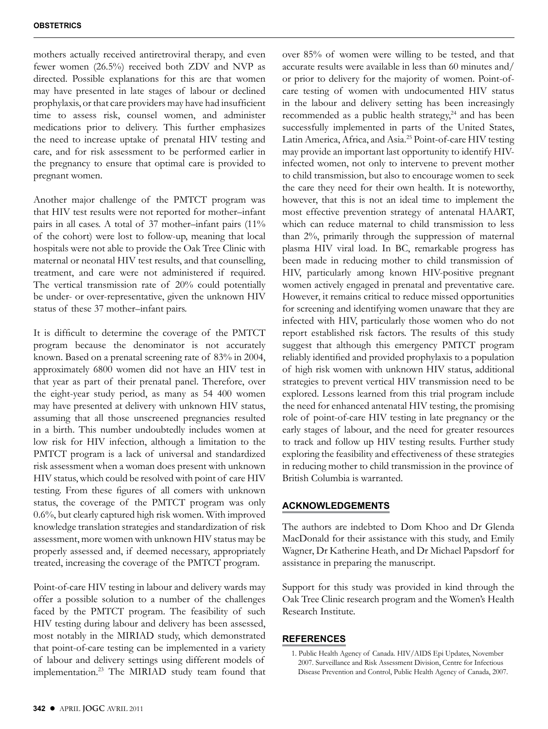mothers actually received antiretroviral therapy, and even fewer women (26.5%) received both ZDV and NVP as directed. Possible explanations for this are that women may have presented in late stages of labour or declined prophylaxis, or that care providers may have had insufficient time to assess risk, counsel women, and administer medications prior to delivery. This further emphasizes the need to increase uptake of prenatal HIV testing and care, and for risk assessment to be performed earlier in the pregnancy to ensure that optimal care is provided to pregnant women.

Another major challenge of the PMTCT program was that HIV test results were not reported for mother–infant pairs in all cases. A total of 37 mother–infant pairs (11% of the cohort) were lost to follow-up, meaning that local hospitals were not able to provide the Oak Tree Clinic with maternal or neonatal HIV test results, and that counselling, treatment, and care were not administered if required. The vertical transmission rate of 20% could potentially be under- or over-representative, given the unknown HIV status of these 37 mother–infant pairs.

It is difficult to determine the coverage of the PMTCT program because the denominator is not accurately known. Based on a prenatal screening rate of 83% in 2004, approximately 6800 women did not have an HIV test in that year as part of their prenatal panel. Therefore, over the eight-year study period, as many as 54 400 women may have presented at delivery with unknown HIV status, assuming that all those unscreened pregnancies resulted in a birth. This number undoubtedly includes women at low risk for HIV infection, although a limitation to the PMTCT program is a lack of universal and standardized risk assessment when a woman does present with unknown HIV status, which could be resolved with point of care HIV testing. From these figures of all comers with unknown status, the coverage of the PMTCT program was only 0.6%, but clearly captured high risk women. With improved knowledge translation strategies and standardization of risk assessment, more women with unknown HIV status may be properly assessed and, if deemed necessary, appropriately treated, increasing the coverage of the PMTCT program.

Point-of-care HIV testing in labour and delivery wards may offer a possible solution to a number of the challenges faced by the PMTCT program. The feasibility of such HIV testing during labour and delivery has been assessed, most notably in the MIRIAD study, which demonstrated that point-of-care testing can be implemented in a variety of labour and delivery settings using different models of implementation.23 The MIRIAD study team found that over 85% of women were willing to be tested, and that accurate results were available in less than 60 minutes and/ or prior to delivery for the majority of women. Point-ofcare testing of women with undocumented HIV status in the labour and delivery setting has been increasingly recommended as a public health strategy, $24$  and has been successfully implemented in parts of the United States, Latin America, Africa, and Asia.25 Point-of-care HIV testing may provide an important last opportunity to identify HIVinfected women, not only to intervene to prevent mother to child transmission, but also to encourage women to seek the care they need for their own health. It is noteworthy, however, that this is not an ideal time to implement the most effective prevention strategy of antenatal HAART, which can reduce maternal to child transmission to less than 2%, primarily through the suppression of maternal plasma HIV viral load. In BC, remarkable progress has been made in reducing mother to child transmission of HIV, particularly among known HIV-positive pregnant women actively engaged in prenatal and preventative care. However, it remains critical to reduce missed opportunities for screening and identifying women unaware that they are infected with HIV, particularly those women who do not report established risk factors. The results of this study suggest that although this emergency PMTCT program reliably identified and provided prophylaxis to a population of high risk women with unknown HIV status, additional strategies to prevent vertical HIV transmission need to be explored. Lessons learned from this trial program include the need for enhanced antenatal HIV testing, the promising role of point-of-care HIV testing in late pregnancy or the early stages of labour, and the need for greater resources to track and follow up HIV testing results. Further study exploring the feasibility and effectiveness of these strategies in reducing mother to child transmission in the province of British Columbia is warranted.

# **ACKNOWLEDGEMENTS**

The authors are indebted to Dom Khoo and Dr Glenda MacDonald for their assistance with this study, and Emily Wagner, Dr Katherine Heath, and Dr Michael Papsdorf for assistance in preparing the manuscript.

Support for this study was provided in kind through the Oak Tree Clinic research program and the Women's Health Research Institute.

# **REFERENCES**

1. Public Health Agency of Canada. HIV/AIDS Epi Updates, November 2007. Surveillance and Risk Assessment Division, Centre for Infectious Disease Prevention and Control, Public Health Agency of Canada, 2007.